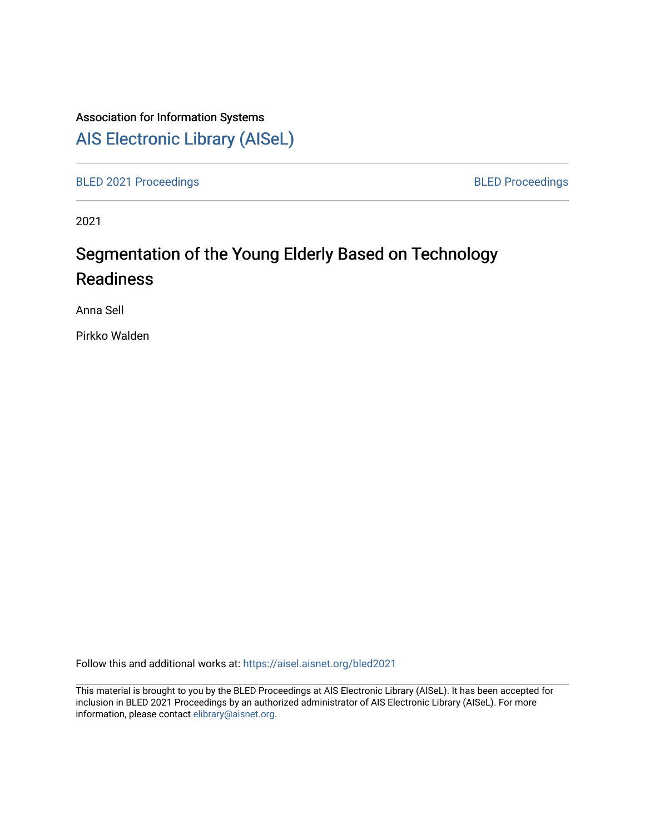### Association for Information Systems

## [AIS Electronic Library \(AISeL\)](https://aisel.aisnet.org/)

[BLED 2021 Proceedings](https://aisel.aisnet.org/bled2021) **BLED Proceedings** 

2021

# Segmentation of the Young Elderly Based on Technology Readiness

Anna Sell

Pirkko Walden

Follow this and additional works at: [https://aisel.aisnet.org/bled2021](https://aisel.aisnet.org/bled2021?utm_source=aisel.aisnet.org%2Fbled2021%2F33&utm_medium=PDF&utm_campaign=PDFCoverPages) 

This material is brought to you by the BLED Proceedings at AIS Electronic Library (AISeL). It has been accepted for inclusion in BLED 2021 Proceedings by an authorized administrator of AIS Electronic Library (AISeL). For more information, please contact [elibrary@aisnet.org.](mailto:elibrary@aisnet.org%3E)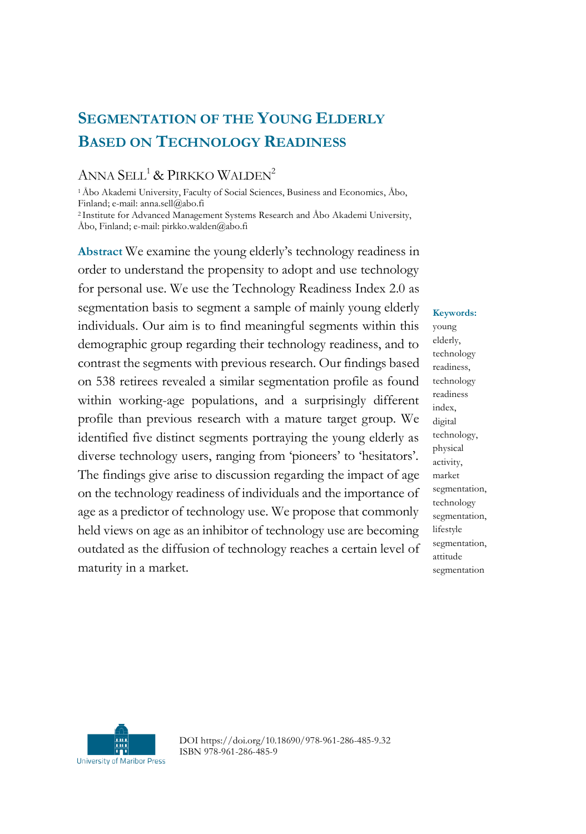## **SEGMENTATION OF THE YOUNG ELDERLY BASED ON TECHNOLOGY READINESS**

#### ANNA SELL<sup>1</sup> & PIRKKO WALDEN<sup>2</sup>

<sup>1</sup>Åbo Akademi University, Faculty of Social Sciences, Business and Economics, Åbo, Finland; e-mail: anna.sell@abo.fi

<sup>2</sup>Institute for Advanced Management Systems Research and Åbo Akademi University, Åbo, Finland; e-mail: pirkko.walden@abo.fi

**Abstract** We examine the young elderly's technology readiness in order to understand the propensity to adopt and use technology for personal use. We use the Technology Readiness Index 2.0 as segmentation basis to segment a sample of mainly young elderly individuals. Our aim is to find meaningful segments within this demographic group regarding their technology readiness, and to contrast the segments with previous research. Our findings based on 538 retirees revealed a similar segmentation profile as found within working-age populations, and a surprisingly different profile than previous research with a mature target group. We identified five distinct segments portraying the young elderly as diverse technology users, ranging from 'pioneers' to 'hesitators'. The findings give arise to discussion regarding the impact of age on the technology readiness of individuals and the importance of age as a predictor of technology use. We propose that commonly held views on age as an inhibitor of technology use are becoming outdated as the diffusion of technology reaches a certain level of maturity in a market.

**Keywords:** young elderly, technology readiness, technology readiness index, digital technology, physical activity, market segmentation, technology segmentation, lifestyle segmentation, attitude segmentation



DOI https://doi.org/10.18690/978-961-286-485-9.32 ISBN 978-961-286-485-9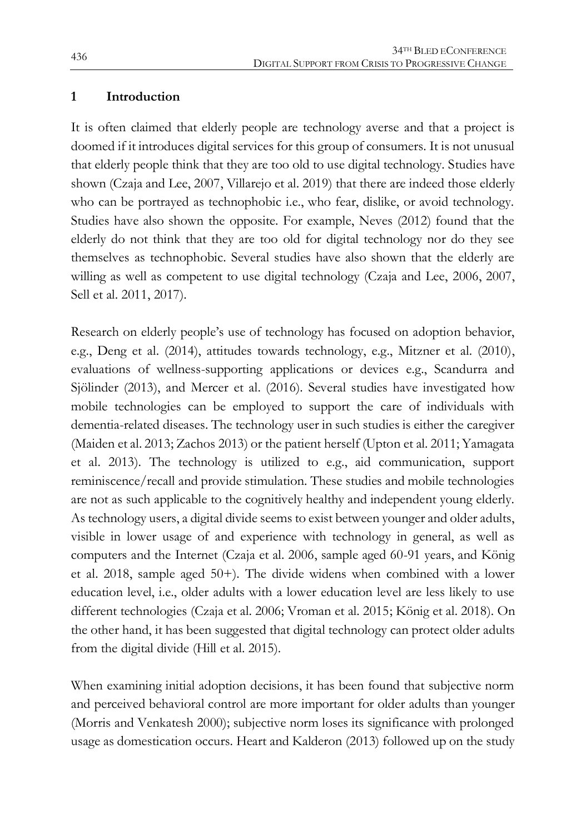#### **1 Introduction**

It is often claimed that elderly people are technology averse and that a project is doomed if it introduces digital services for this group of consumers. It is not unusual that elderly people think that they are too old to use digital technology. Studies have shown (Czaja and Lee, 2007, Villarejo et al. 2019) that there are indeed those elderly who can be portrayed as technophobic i.e., who fear, dislike, or avoid technology. Studies have also shown the opposite. For example, Neves (2012) found that the elderly do not think that they are too old for digital technology nor do they see themselves as technophobic. Several studies have also shown that the elderly are willing as well as competent to use digital technology (Czaja and Lee, 2006, 2007, Sell et al. 2011, 2017).

Research on elderly people's use of technology has focused on adoption behavior, e.g., Deng et al. (2014), attitudes towards technology, e.g., Mitzner et al. (2010), evaluations of wellness-supporting applications or devices e.g., Scandurra and Sjölinder (2013), and Mercer et al. (2016). Several studies have investigated how mobile technologies can be employed to support the care of individuals with dementia-related diseases. The technology user in such studies is either the caregiver (Maiden et al. 2013; Zachos 2013) or the patient herself (Upton et al. 2011; Yamagata et al. 2013). The technology is utilized to e.g., aid communication, support reminiscence/recall and provide stimulation. These studies and mobile technologies are not as such applicable to the cognitively healthy and independent young elderly. As technology users, a digital divide seems to exist between younger and older adults, visible in lower usage of and experience with technology in general, as well as computers and the Internet (Czaja et al. 2006, sample aged 60-91 years, and König et al. 2018, sample aged 50+). The divide widens when combined with a lower education level, i.e., older adults with a lower education level are less likely to use different technologies (Czaja et al. 2006; Vroman et al. 2015; König et al. 2018). On the other hand, it has been suggested that digital technology can protect older adults from the digital divide (Hill et al. 2015).

When examining initial adoption decisions, it has been found that subjective norm and perceived behavioral control are more important for older adults than younger (Morris and Venkatesh 2000); subjective norm loses its significance with prolonged usage as domestication occurs. Heart and Kalderon (2013) followed up on the study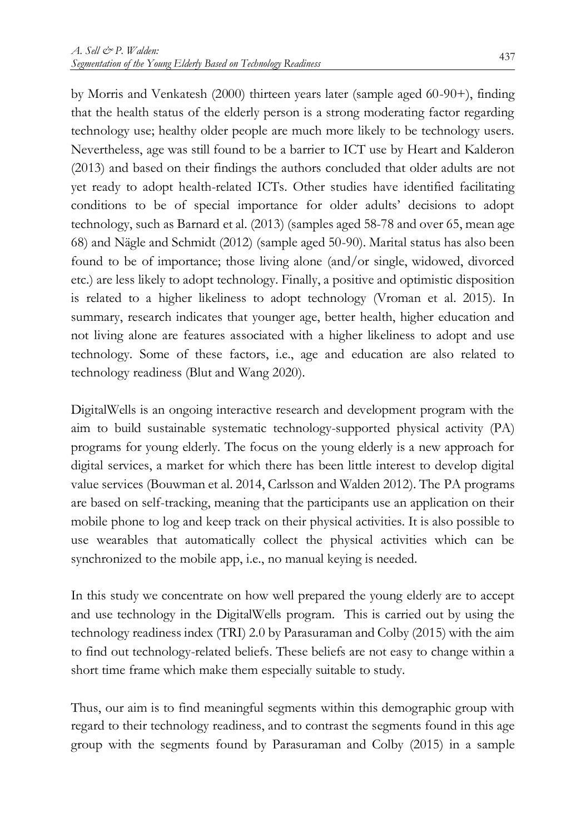by Morris and Venkatesh (2000) thirteen years later (sample aged 60-90+), finding that the health status of the elderly person is a strong moderating factor regarding technology use; healthy older people are much more likely to be technology users. Nevertheless, age was still found to be a barrier to ICT use by Heart and Kalderon (2013) and based on their findings the authors concluded that older adults are not yet ready to adopt health-related ICTs. Other studies have identified facilitating conditions to be of special importance for older adults' decisions to adopt technology, such as Barnard et al. (2013) (samples aged 58-78 and over 65, mean age 68) and Nägle and Schmidt (2012) (sample aged 50-90). Marital status has also been found to be of importance; those living alone (and/or single, widowed, divorced etc.) are less likely to adopt technology. Finally, a positive and optimistic disposition is related to a higher likeliness to adopt technology (Vroman et al. 2015). In summary, research indicates that younger age, better health, higher education and not living alone are features associated with a higher likeliness to adopt and use technology. Some of these factors, i.e., age and education are also related to technology readiness (Blut and Wang 2020).

DigitalWells is an ongoing interactive research and development program with the aim to build sustainable systematic technology-supported physical activity (PA) programs for young elderly. The focus on the young elderly is a new approach for digital services, a market for which there has been little interest to develop digital value services (Bouwman et al. 2014, Carlsson and Walden 2012). The PA programs are based on self-tracking, meaning that the participants use an application on their mobile phone to log and keep track on their physical activities. It is also possible to use wearables that automatically collect the physical activities which can be synchronized to the mobile app, i.e., no manual keying is needed.

In this study we concentrate on how well prepared the young elderly are to accept and use technology in the DigitalWells program. This is carried out by using the technology readiness index (TRI) 2.0 by Parasuraman and Colby (2015) with the aim to find out technology-related beliefs. These beliefs are not easy to change within a short time frame which make them especially suitable to study.

Thus, our aim is to find meaningful segments within this demographic group with regard to their technology readiness, and to contrast the segments found in this age group with the segments found by Parasuraman and Colby (2015) in a sample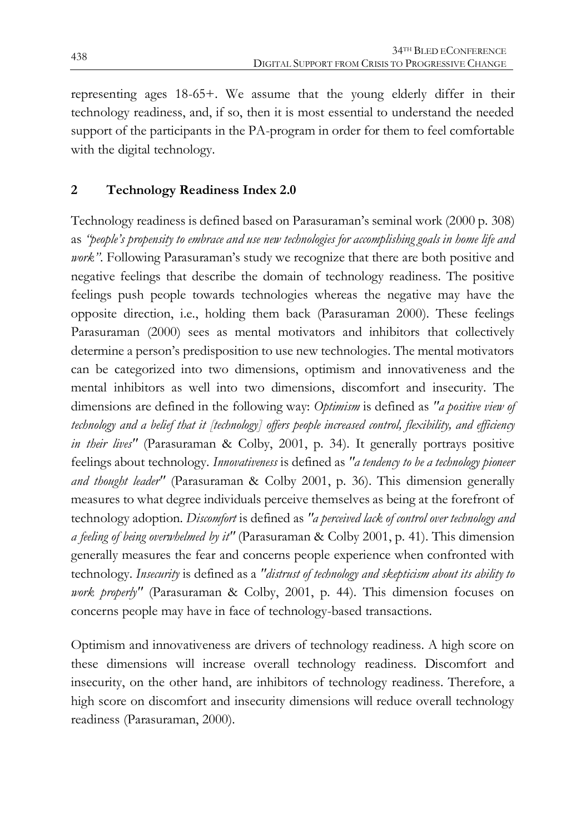representing ages 18-65+. We assume that the young elderly differ in their technology readiness, and, if so, then it is most essential to understand the needed support of the participants in the PA-program in order for them to feel comfortable with the digital technology.

#### **2 Technology Readiness Index 2.0**

Technology readiness is defined based on Parasuraman's seminal work (2000 p. 308) as *"people's propensity to embrace and use new technologies for accomplishing goals in home life and work"*. Following Parasuraman's study we recognize that there are both positive and negative feelings that describe the domain of technology readiness. The positive feelings push people towards technologies whereas the negative may have the opposite direction, i.e., holding them back (Parasuraman 2000). These feelings Parasuraman (2000) sees as mental motivators and inhibitors that collectively determine a person's predisposition to use new technologies. The mental motivators can be categorized into two dimensions, optimism and innovativeness and the mental inhibitors as well into two dimensions, discomfort and insecurity. The dimensions are defined in the following way: *Optimism* is defined as *"a positive view of technology and a belief that it [technology] offers people increased control, flexibility, and efficiency in their lives"* (Parasuraman & Colby, 2001, p. 34). It generally portrays positive feelings about technology. *Innovativeness* is defined as *"a tendency to be a technology pioneer and thought leader"* (Parasuraman & Colby 2001, p. 36). This dimension generally measures to what degree individuals perceive themselves as being at the forefront of technology adoption. *Discomfort* is defined as *"a perceived lack of control over technology and a feeling of being overwhelmed by it"* (Parasuraman & Colby 2001, p. 41). This dimension generally measures the fear and concerns people experience when confronted with technology. *Insecurity* is defined as a *"distrust of technology and skepticism about its ability to work properly"* (Parasuraman & Colby, 2001, p. 44). This dimension focuses on concerns people may have in face of technology-based transactions.

Optimism and innovativeness are drivers of technology readiness. A high score on these dimensions will increase overall technology readiness. Discomfort and insecurity, on the other hand, are inhibitors of technology readiness. Therefore, a high score on discomfort and insecurity dimensions will reduce overall technology readiness (Parasuraman, 2000).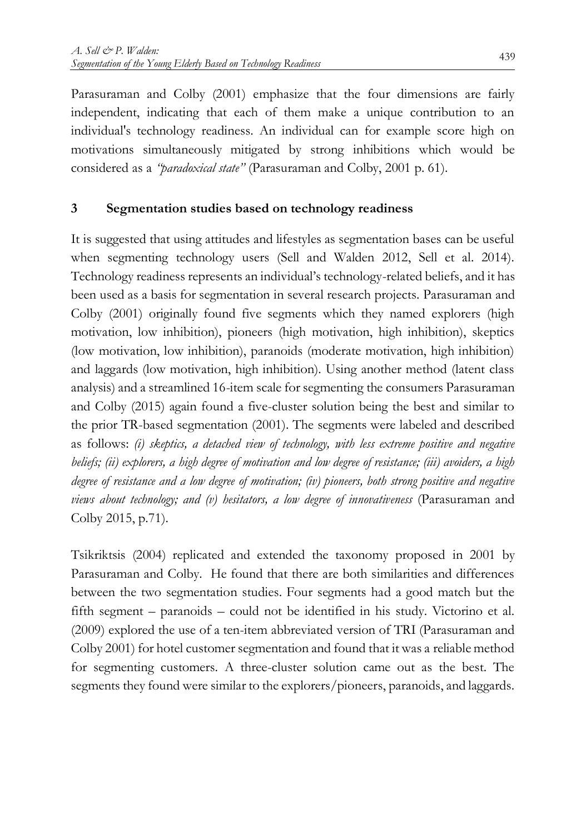Parasuraman and Colby (2001) emphasize that the four dimensions are fairly independent, indicating that each of them make a unique contribution to an individual's technology readiness. An individual can for example score high on motivations simultaneously mitigated by strong inhibitions which would be considered as a *"paradoxical state"* (Parasuraman and Colby, 2001 p. 61).

#### **3 Segmentation studies based on technology readiness**

It is suggested that using attitudes and lifestyles as segmentation bases can be useful when segmenting technology users (Sell and Walden 2012, Sell et al. 2014). Technology readiness represents an individual's technology-related beliefs, and it has been used as a basis for segmentation in several research projects. Parasuraman and Colby (2001) originally found five segments which they named explorers (high motivation, low inhibition), pioneers (high motivation, high inhibition), skeptics (low motivation, low inhibition), paranoids (moderate motivation, high inhibition) and laggards (low motivation, high inhibition). Using another method (latent class analysis) and a streamlined 16-item scale for segmenting the consumers Parasuraman and Colby (2015) again found a five-cluster solution being the best and similar to the prior TR-based segmentation (2001). The segments were labeled and described as follows: *(i) skeptics, a detached view of technology, with less extreme positive and negative beliefs; (ii) explorers, a high degree of motivation and low degree of resistance; (iii) avoiders, a high degree of resistance and a low degree of motivation; (iv) pioneers, both strong positive and negative views about technology; and (v) hesitators, a low degree of innovativeness* (Parasuraman and Colby 2015, p.71).

Tsikriktsis (2004) replicated and extended the taxonomy proposed in 2001 by Parasuraman and Colby. He found that there are both similarities and differences between the two segmentation studies. Four segments had a good match but the fifth segment – paranoids – could not be identified in his study. Victorino et al. (2009) explored the use of a ten-item abbreviated version of TRI (Parasuraman and Colby 2001) for hotel customer segmentation and found that it was a reliable method for segmenting customers. A three-cluster solution came out as the best. The segments they found were similar to the explorers/pioneers, paranoids, and laggards.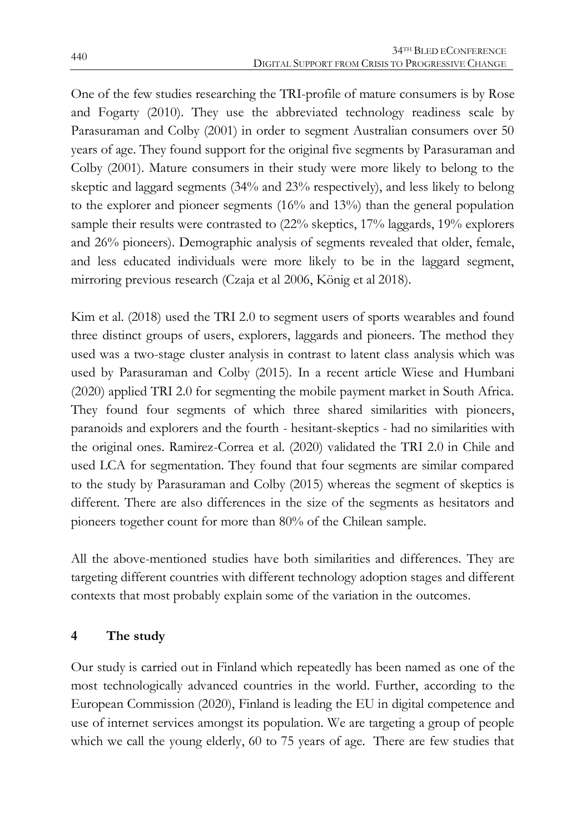One of the few studies researching the TRI-profile of mature consumers is by Rose and Fogarty (2010). They use the abbreviated technology readiness scale by Parasuraman and Colby (2001) in order to segment Australian consumers over 50 years of age. They found support for the original five segments by Parasuraman and Colby (2001). Mature consumers in their study were more likely to belong to the skeptic and laggard segments (34% and 23% respectively), and less likely to belong to the explorer and pioneer segments (16% and 13%) than the general population sample their results were contrasted to (22% skeptics, 17% laggards, 19% explorers and 26% pioneers). Demographic analysis of segments revealed that older, female, and less educated individuals were more likely to be in the laggard segment, mirroring previous research (Czaja et al 2006, König et al 2018).

Kim et al. (2018) used the TRI 2.0 to segment users of sports wearables and found three distinct groups of users, explorers, laggards and pioneers. The method they used was a two-stage cluster analysis in contrast to latent class analysis which was used by Parasuraman and Colby (2015). In a recent article Wiese and Humbani (2020) applied TRI 2.0 for segmenting the mobile payment market in South Africa. They found four segments of which three shared similarities with pioneers, paranoids and explorers and the fourth - hesitant-skeptics - had no similarities with the original ones. Ramirez-Correa et al. (2020) validated the TRI 2.0 in Chile and used LCA for segmentation. They found that four segments are similar compared to the study by Parasuraman and Colby (2015) whereas the segment of skeptics is different. There are also differences in the size of the segments as hesitators and pioneers together count for more than 80% of the Chilean sample.

All the above-mentioned studies have both similarities and differences. They are targeting different countries with different technology adoption stages and different contexts that most probably explain some of the variation in the outcomes.

#### **4 The study**

Our study is carried out in Finland which repeatedly has been named as one of the most technologically advanced countries in the world. Further, according to the European Commission (2020), Finland is leading the EU in digital competence and use of internet services amongst its population. We are targeting a group of people which we call the young elderly, 60 to 75 years of age. There are few studies that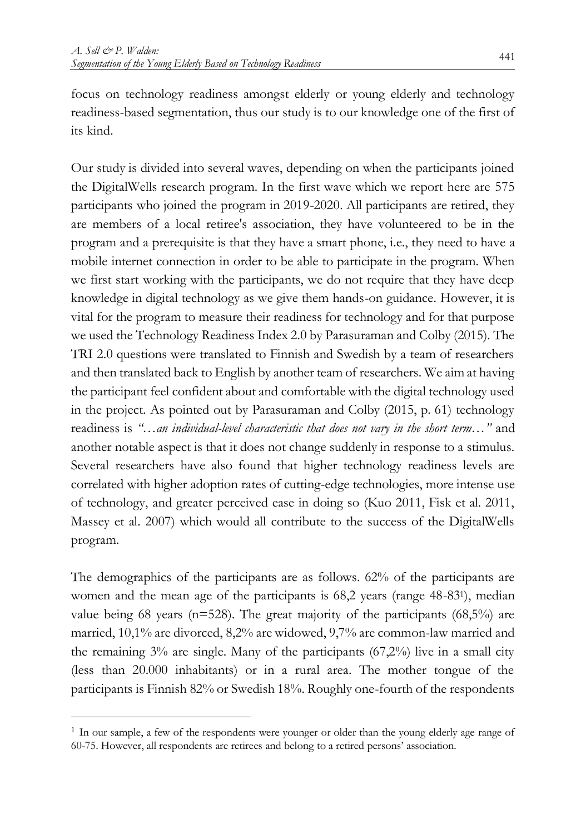focus on technology readiness amongst elderly or young elderly and technology readiness-based segmentation, thus our study is to our knowledge one of the first of its kind.

Our study is divided into several waves, depending on when the participants joined the DigitalWells research program. In the first wave which we report here are 575 participants who joined the program in 2019-2020. All participants are retired, they are members of a local retiree's association, they have volunteered to be in the program and a prerequisite is that they have a smart phone, i.e., they need to have a mobile internet connection in order to be able to participate in the program. When we first start working with the participants, we do not require that they have deep knowledge in digital technology as we give them hands-on guidance. However, it is vital for the program to measure their readiness for technology and for that purpose we used the Technology Readiness Index 2.0 by Parasuraman and Colby (2015). The TRI 2.0 questions were translated to Finnish and Swedish by a team of researchers and then translated back to English by another team of researchers. We aim at having the participant feel confident about and comfortable with the digital technology used in the project. As pointed out by Parasuraman and Colby (2015, p. 61) technology readiness is *"…an individual-level characteristic that does not vary in the short term…"* and another notable aspect is that it does not change suddenly in response to a stimulus. Several researchers have also found that higher technology readiness levels are correlated with higher adoption rates of cutting-edge technologies, more intense use of technology, and greater perceived ease in doing so (Kuo 2011, Fisk et al. 2011, Massey et al. 2007) which would all contribute to the success of the DigitalWells program.

The demographics of the participants are as follows. 62% of the participants are women and the mean age of the participants is 68,2 years (range 48-831), median value being 68 years ( $n=528$ ). The great majority of the participants ( $68,5\%$ ) are married, 10,1% are divorced, 8,2% are widowed, 9,7% are common-law married and the remaining  $3\%$  are single. Many of the participants  $(67,2\%)$  live in a small city (less than 20.000 inhabitants) or in a rural area. The mother tongue of the participants is Finnish 82% or Swedish 18%. Roughly one-fourth of the respondents

 $\ddot{\phantom{a}}$ 

<sup>1</sup> In our sample, a few of the respondents were younger or older than the young elderly age range of 60-75. However, all respondents are retirees and belong to a retired persons' association.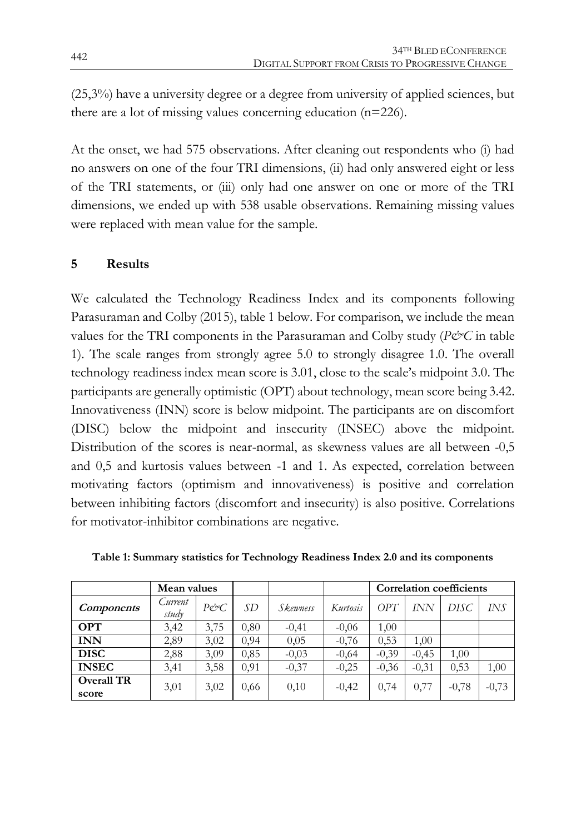(25,3%) have a university degree or a degree from university of applied sciences, but there are a lot of missing values concerning education (n=226).

At the onset, we had 575 observations. After cleaning out respondents who (i) had no answers on one of the four TRI dimensions, (ii) had only answered eight or less of the TRI statements, or (iii) only had one answer on one or more of the TRI dimensions, we ended up with 538 usable observations. Remaining missing values were replaced with mean value for the sample.

#### **5 Results**

We calculated the Technology Readiness Index and its components following Parasuraman and Colby (2015), table 1 below. For comparison, we include the mean values for the TRI components in the Parasuraman and Colby study (*P&C* in table 1). The scale ranges from strongly agree 5.0 to strongly disagree 1.0. The overall technology readiness index mean score is 3.01, close to the scale's midpoint 3.0. The participants are generally optimistic (OPT) about technology, mean score being 3.42. Innovativeness (INN) score is below midpoint. The participants are on discomfort (DISC) below the midpoint and insecurity (INSEC) above the midpoint. Distribution of the scores is near-normal, as skewness values are all between -0,5 and 0,5 and kurtosis values between -1 and 1. As expected, correlation between motivating factors (optimism and innovativeness) is positive and correlation between inhibiting factors (discomfort and insecurity) is also positive. Correlations for motivator-inhibitor combinations are negative.

|                            | Mean values      |                 |      |          |          | <b>Correlation coefficients</b> |         |         |         |
|----------------------------|------------------|-----------------|------|----------|----------|---------------------------------|---------|---------|---------|
| <i>Components</i>          | Current<br>study | $P\acute{c}^cC$ | SD.  | Skewness | Kurtosis | OPT                             | INN     | DISC    | IN.S    |
| <b>OPT</b>                 | 3,42             | 3,75            | 0.80 | $-0.41$  | $-0.06$  | 1.00                            |         |         |         |
| <b>INN</b>                 | 2,89             | 3,02            | 0.94 | 0,05     | $-0,76$  | 0,53                            | 1,00    |         |         |
| <b>DISC</b>                | 2,88             | 3,09            | 0,85 | $-0.03$  | $-0,64$  | $-0,39$                         | $-0.45$ | 1,00    |         |
| <b>INSEC</b>               | 3,41             | 3,58            | 0,91 | $-0.37$  | $-0.25$  | $-0,36$                         | $-0,31$ | 0.53    | 1,00    |
| <b>Overall TR</b><br>score | 3,01             | 3,02            | 0,66 | 0,10     | $-0,42$  | 0,74                            | 0,77    | $-0,78$ | $-0,73$ |

**Table 1: Summary statistics for Technology Readiness Index 2.0 and its components**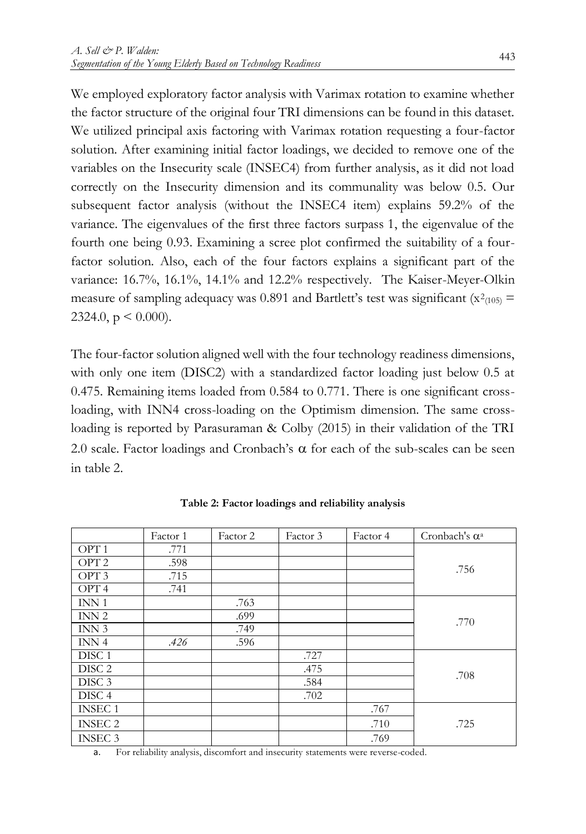We employed exploratory factor analysis with Varimax rotation to examine whether the factor structure of the original four TRI dimensions can be found in this dataset. We utilized principal axis factoring with Varimax rotation requesting a four-factor solution. After examining initial factor loadings, we decided to remove one of the variables on the Insecurity scale (INSEC4) from further analysis, as it did not load correctly on the Insecurity dimension and its communality was below 0.5. Our subsequent factor analysis (without the INSEC4 item) explains 59.2% of the variance. The eigenvalues of the first three factors surpass 1, the eigenvalue of the fourth one being 0.93. Examining a scree plot confirmed the suitability of a fourfactor solution. Also, each of the four factors explains a significant part of the variance: 16.7%, 16.1%, 14.1% and 12.2% respectively. The Kaiser-Meyer-Olkin measure of sampling adequacy was 0.891 and Bartlett's test was significant ( $x^2$ <sub>(105)</sub> = 2324.0,  $p \le 0.000$ ).

The four-factor solution aligned well with the four technology readiness dimensions, with only one item (DISC2) with a standardized factor loading just below 0.5 at 0.475. Remaining items loaded from 0.584 to 0.771. There is one significant crossloading, with INN4 cross-loading on the Optimism dimension. The same crossloading is reported by Parasuraman & Colby (2015) in their validation of the TRI 2.0 scale. Factor loadings and Cronbach's  $\alpha$  for each of the sub-scales can be seen in table 2.

|                   | Factor 1 | Factor 2 | Factor 3 | Factor 4 | Cronbach's $\alpha$ <sup>a</sup> |
|-------------------|----------|----------|----------|----------|----------------------------------|
| OPT <sub>1</sub>  | .771     |          |          |          |                                  |
| OPT <sub>2</sub>  | .598     |          |          |          | .756                             |
| OPT <sub>3</sub>  | .715     |          |          |          |                                  |
| OPT 4             | .741     |          |          |          |                                  |
| INN <sub>1</sub>  |          | .763     |          |          |                                  |
| INN <sub>2</sub>  |          | .699     |          |          | .770                             |
| INN 3             |          | .749     |          |          |                                  |
| INN <sub>4</sub>  | .426     | .596     |          |          |                                  |
| DISC <sub>1</sub> |          |          | .727     |          |                                  |
| DISC <sub>2</sub> |          |          | .475     |          | .708                             |
| DISC <sub>3</sub> |          |          | .584     |          |                                  |
| DISC <sub>4</sub> |          |          | .702     |          |                                  |
| <b>INSEC 1</b>    |          |          |          | .767     |                                  |
| <b>INSEC 2</b>    |          |          |          | .710     | .725                             |
| <b>INSEC 3</b>    |          |          |          | .769     |                                  |

**Table 2: Factor loadings and reliability analysis**

a. For reliability analysis, discomfort and insecurity statements were reverse-coded.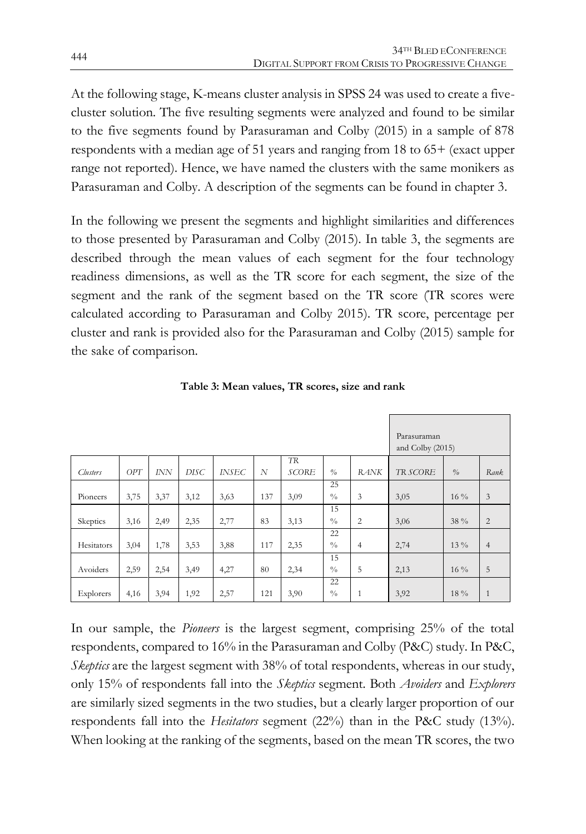At the following stage, K-means cluster analysis in SPSS 24 was used to create a fivecluster solution. The five resulting segments were analyzed and found to be similar to the five segments found by Parasuraman and Colby (2015) in a sample of 878 respondents with a median age of 51 years and ranging from 18 to 65+ (exact upper range not reported). Hence, we have named the clusters with the same monikers as Parasuraman and Colby. A description of the segments can be found in chapter 3.

In the following we present the segments and highlight similarities and differences to those presented by Parasuraman and Colby (2015). In table 3, the segments are described through the mean values of each segment for the four technology readiness dimensions, as well as the TR score for each segment, the size of the segment and the rank of the segment based on the TR score (TR scores were calculated according to Parasuraman and Colby 2015). TR score, percentage per cluster and rank is provided also for the Parasuraman and Colby (2015) sample for the sake of comparison.

|            |      |            |             |              |     |                           |                                 |                | Parasuraman<br>and Colby (2015) |               |                |
|------------|------|------------|-------------|--------------|-----|---------------------------|---------------------------------|----------------|---------------------------------|---------------|----------------|
| Clusters   | OPT  | <b>INN</b> | <b>DISC</b> | <b>INSEC</b> | N   | <b>TR</b><br><b>SCORE</b> | $\frac{0}{a}$                   | <b>RANK</b>    | TR SCORE                        | $\frac{0}{0}$ | Rank.          |
| Pioneers   | 3,75 | 3,37       | 3,12        | 3,63         | 137 | 3,09                      | 25<br>$^{0}/_{0}$               | 3              | 3,05                            | $16\%$        | 3              |
| Skeptics   | 3,16 | 2,49       | 2,35        | 2,77         | 83  | 3,13                      | 15<br>$\frac{0}{0}$             | 2              | 3,06                            | 38 %          | $\overline{2}$ |
| Hesitators | 3,04 | 1,78       | 3,53        | 3,88         | 117 | 2,35                      | 22<br>$\frac{0}{0}$             | $\overline{4}$ | 2,74                            | 13 %          | $\overline{4}$ |
| Avoiders   | 2,59 | 2,54       | 3,49        | 4,27         | 80  | 2,34                      | 15<br>$\sqrt[0]{\phantom{.}}_0$ | 5              | 2,13                            | $16\%$        | 5              |
| Explorers  | 4,16 | 3,94       | 1,92        | 2,57         | 121 | 3,90                      | 22<br>$^{0}/_{0}$               | $\mathbf{1}$   | 3,92                            | 18 %          | $\mathbf{1}$   |

**Table 3: Mean values, TR scores, size and rank**

In our sample, the *Pioneers* is the largest segment, comprising 25% of the total respondents, compared to 16% in the Parasuraman and Colby (P&C) study. In P&C, *Skeptics* are the largest segment with 38% of total respondents, whereas in our study, only 15% of respondents fall into the *Skeptics* segment. Both *Avoiders* and *Explorers* are similarly sized segments in the two studies, but a clearly larger proportion of our respondents fall into the *Hesitators* segment (22%) than in the P&C study (13%). When looking at the ranking of the segments, based on the mean TR scores, the two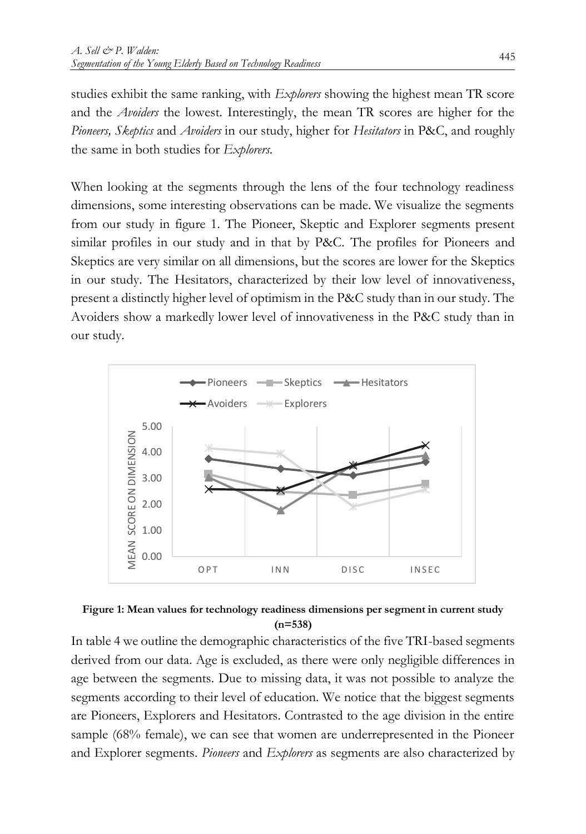studies exhibit the same ranking, with *Explorers* showing the highest mean TR score and the *Avoiders* the lowest. Interestingly, the mean TR scores are higher for the *Pioneers, Skeptics* and *Avoiders* in our study, higher for *Hesitators* in P&C, and roughly the same in both studies for *Explorers*.

When looking at the segments through the lens of the four technology readiness dimensions, some interesting observations can be made. We visualize the segments from our study in figure 1. The Pioneer, Skeptic and Explorer segments present similar profiles in our study and in that by P&C. The profiles for Pioneers and Skeptics are very similar on all dimensions, but the scores are lower for the Skeptics in our study. The Hesitators, characterized by their low level of innovativeness, present a distinctly higher level of optimism in the P&C study than in our study. The Avoiders show a markedly lower level of innovativeness in the P&C study than in our study.





In table 4 we outline the demographic characteristics of the five TRI-based segments derived from our data. Age is excluded, as there were only negligible differences in age between the segments. Due to missing data, it was not possible to analyze the segments according to their level of education. We notice that the biggest segments are Pioneers, Explorers and Hesitators. Contrasted to the age division in the entire sample (68% female), we can see that women are underrepresented in the Pioneer and Explorer segments. *Pioneers* and *Explorers* as segments are also characterized by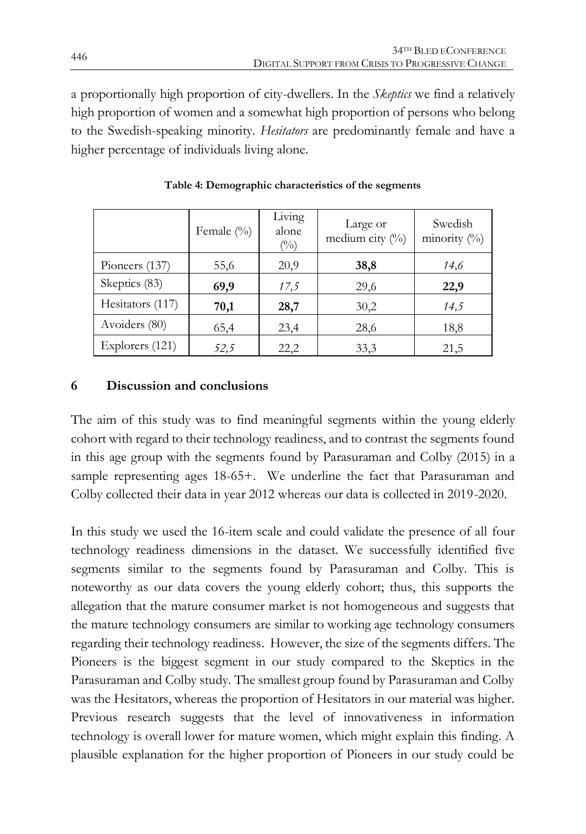a proportionally high proportion of city-dwellers. In the *Skeptics* we find a relatively high proportion of women and a somewhat high proportion of persons who belong to the Swedish-speaking minority. *Hesitators* are predominantly female and have a higher percentage of individuals living alone.

|                  | Female $(\%)$ | Living<br>alone<br>$(^{0}_{0})$ | Large or<br>medium city $(^{0}_{0})$ | Swedish<br>minority (%) |
|------------------|---------------|---------------------------------|--------------------------------------|-------------------------|
| Pioneers (137)   | 55,6          | 20,9                            | 38,8                                 | 14,6                    |
| Skeptics (83)    | 69,9          | 17,5                            | 29,6                                 | 22,9                    |
| Hesitators (117) | 70,1          | 28,7                            | 30,2                                 | 14,5                    |
| Avoiders (80)    | 65,4          | 23,4                            | 28,6                                 | 18,8                    |
| Explorers (121)  | 52,5          | 22,2                            | 33,3                                 | 21,5                    |

**Table 4: Demographic characteristics of the segments**

#### **6 Discussion and conclusions**

The aim of this study was to find meaningful segments within the young elderly cohort with regard to their technology readiness, and to contrast the segments found in this age group with the segments found by Parasuraman and Colby (2015) in a sample representing ages 18-65+. We underline the fact that Parasuraman and Colby collected their data in year 2012 whereas our data is collected in 2019-2020.

In this study we used the 16-item scale and could validate the presence of all four technology readiness dimensions in the dataset. We successfully identified five segments similar to the segments found by Parasuraman and Colby. This is noteworthy as our data covers the young elderly cohort; thus, this supports the allegation that the mature consumer market is not homogeneous and suggests that the mature technology consumers are similar to working age technology consumers regarding their technology readiness. However, the size of the segments differs. The Pioneers is the biggest segment in our study compared to the Skeptics in the Parasuraman and Colby study. The smallest group found by Parasuraman and Colby was the Hesitators, whereas the proportion of Hesitators in our material was higher. Previous research suggests that the level of innovativeness in information technology is overall lower for mature women, which might explain this finding. A plausible explanation for the higher proportion of Pioneers in our study could be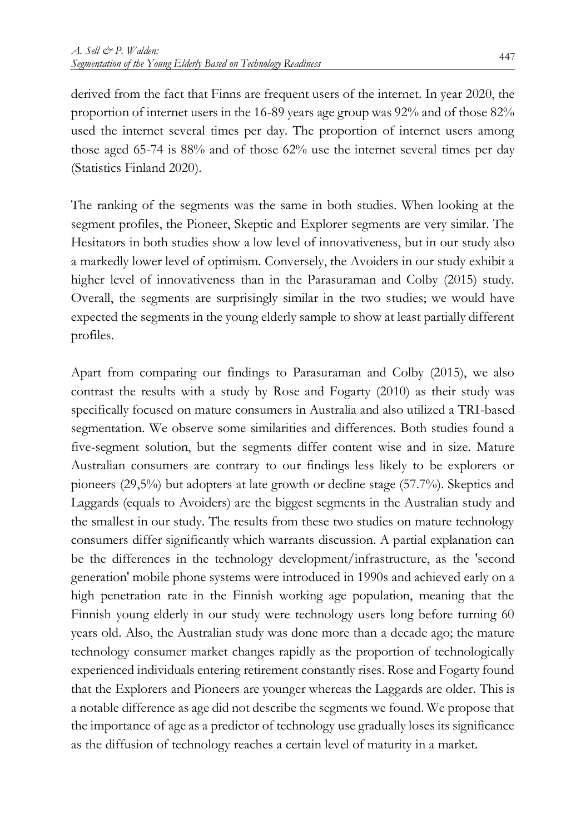derived from the fact that Finns are frequent users of the internet. In year 2020, the proportion of internet users in the 16-89 years age group was 92% and of those 82% used the internet several times per day. The proportion of internet users among those aged 65-74 is 88% and of those 62% use the internet several times per day (Statistics Finland 2020).

The ranking of the segments was the same in both studies. When looking at the segment profiles, the Pioneer, Skeptic and Explorer segments are very similar. The Hesitators in both studies show a low level of innovativeness, but in our study also a markedly lower level of optimism. Conversely, the Avoiders in our study exhibit a higher level of innovativeness than in the Parasuraman and Colby (2015) study. Overall, the segments are surprisingly similar in the two studies; we would have expected the segments in the young elderly sample to show at least partially different profiles.

Apart from comparing our findings to Parasuraman and Colby (2015), we also contrast the results with a study by Rose and Fogarty (2010) as their study was specifically focused on mature consumers in Australia and also utilized a TRI-based segmentation. We observe some similarities and differences. Both studies found a five-segment solution, but the segments differ content wise and in size. Mature Australian consumers are contrary to our findings less likely to be explorers or pioneers (29,5%) but adopters at late growth or decline stage (57.7%). Skeptics and Laggards (equals to Avoiders) are the biggest segments in the Australian study and the smallest in our study. The results from these two studies on mature technology consumers differ significantly which warrants discussion. A partial explanation can be the differences in the technology development/infrastructure, as the 'second generation' mobile phone systems were introduced in 1990s and achieved early on a high penetration rate in the Finnish working age population, meaning that the Finnish young elderly in our study were technology users long before turning 60 years old. Also, the Australian study was done more than a decade ago; the mature technology consumer market changes rapidly as the proportion of technologically experienced individuals entering retirement constantly rises. Rose and Fogarty found that the Explorers and Pioneers are younger whereas the Laggards are older. This is a notable difference as age did not describe the segments we found. We propose that the importance of age as a predictor of technology use gradually loses its significance as the diffusion of technology reaches a certain level of maturity in a market.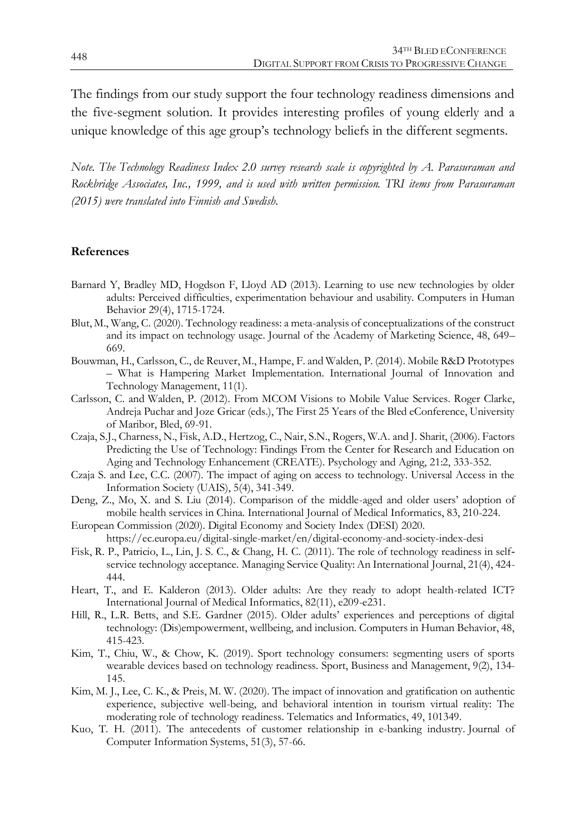The findings from our study support the four technology readiness dimensions and the five-segment solution. It provides interesting profiles of young elderly and a unique knowledge of this age group's technology beliefs in the different segments.

*Note. The Technology Readiness Index 2.0 survey research scale is copyrighted by A. Parasuraman and Rockbridge Associates, Inc., 1999, and is used with written permission. TRI items from Parasuraman (2015) were translated into Finnish and Swedish.*

#### **References**

- Barnard Y, Bradley MD, Hogdson F, Lloyd AD (2013). Learning to use new technologies by older adults: Perceived difficulties, experimentation behaviour and usability. Computers in Human Behavior 29(4), 1715-1724.
- Blut, M., Wang, C. (2020). Technology readiness: a meta-analysis of conceptualizations of the construct and its impact on technology usage. Journal of the Academy of Marketing Science, 48, 649– 669.
- Bouwman, H., Carlsson, C., de Reuver, M., Hampe, F. and Walden, P. (2014). Mobile R&D Prototypes – What is Hampering Market Implementation. International Journal of Innovation and Technology Management, 11(1).
- Carlsson, C. and Walden, P. (2012). From MCOM Visions to Mobile Value Services. Roger Clarke, Andreja Puchar and Joze Gricar (eds.), The First 25 Years of the Bled eConference, University of Maribor, Bled, 69-91.
- Czaja, S.J., Charness, N., Fisk, A.D., Hertzog, C., Nair, S.N., Rogers, W.A. and J. Sharit, (2006). Factors Predicting the Use of Technology: Findings From the Center for Research and Education on Aging and Technology Enhancement (CREATE). Psychology and Aging, 21:2, 333-352.
- Czaja S. and Lee, C.C. (2007). The impact of aging on access to technology. Universal Access in the Information Society (UAIS), 5(4), 341-349.
- Deng, Z., Mo, X. and S. Liu (2014). Comparison of the middle-aged and older users' adoption of mobile health services in China. International Journal of Medical Informatics, 83, 210-224.
- European Commission (2020). Digital Economy and Society Index (DESI) 2020. https://ec.europa.eu/digital-single-market/en/digital-economy-and-society-index-desi
- Fisk, R. P., Patricio, L., Lin, J. S. C., & Chang, H. C. (2011). The role of technology readiness in selfservice technology acceptance. Managing Service Quality: An International Journal, 21(4), 424- 444.
- Heart, T., and E. Kalderon (2013). Older adults: Are they ready to adopt health-related ICT? International Journal of Medical Informatics, 82(11), e209-e231.
- Hill, R., L.R. Betts, and S.E. Gardner (2015). Older adults' experiences and perceptions of digital technology: (Dis)empowerment, wellbeing, and inclusion. Computers in Human Behavior, 48, 415-423.
- Kim, T., Chiu, W., & Chow, K. (2019). Sport technology consumers: segmenting users of sports wearable devices based on technology readiness. Sport, Business and Management, 9(2), 134- 145.
- Kim, M. J., Lee, C. K., & Preis, M. W. (2020). The impact of innovation and gratification on authentic experience, subjective well-being, and behavioral intention in tourism virtual reality: The moderating role of technology readiness. Telematics and Informatics, 49, 101349.
- Kuo, T. H. (2011). The antecedents of customer relationship in e-banking industry. Journal of Computer Information Systems, 51(3), 57-66.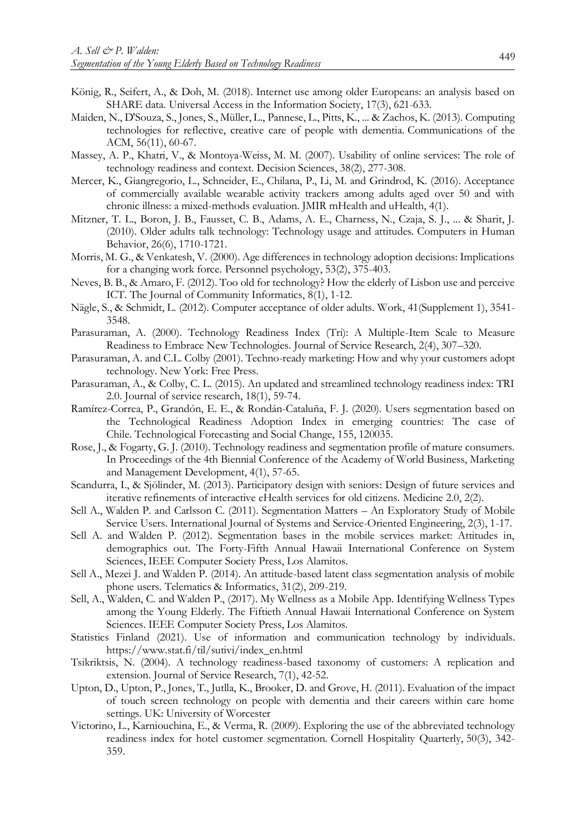- König, R., Seifert, A., & Doh, M. (2018). Internet use among older Europeans: an analysis based on SHARE data. Universal Access in the Information Society, 17(3), 621-633.
- Maiden, N., D'Souza, S., Jones, S., Müller, L., Pannese, L., Pitts, K., ... & Zachos, K. (2013). Computing technologies for reflective, creative care of people with dementia. Communications of the ACM, 56(11), 60-67.
- Massey, A. P., Khatri, V., & Montoya-Weiss, M. M. (2007). Usability of online services: The role of technology readiness and context. Decision Sciences, 38(2), 277-308.
- Mercer, K., Giangregorio, L., Schneider, E., Chilana, P., Li, M. and Grindrod, K. (2016). Acceptance of commercially available wearable activity trackers among adults aged over 50 and with chronic illness: a mixed-methods evaluation. JMIR mHealth and uHealth, 4(1).
- Mitzner, T. L., Boron, J. B., Fausset, C. B., Adams, A. E., Charness, N., Czaja, S. J., ... & Sharit, J. (2010). Older adults talk technology: Technology usage and attitudes. Computers in Human Behavior, 26(6), 1710-1721.
- Morris, M. G., & Venkatesh, V. (2000). Age differences in technology adoption decisions: Implications for a changing work force. Personnel psychology, 53(2), 375-403.
- Neves, B. B., & Amaro, F. (2012). Too old for technology? How the elderly of Lisbon use and perceive ICT. The Journal of Community Informatics, 8(1), 1-12.
- Nägle, S., & Schmidt, L. (2012). Computer acceptance of older adults. Work, 41(Supplement 1), 3541- 3548.
- Parasuraman, A. (2000). Technology Readiness Index (Tri): A Multiple-Item Scale to Measure Readiness to Embrace New Technologies. Journal of Service Research, 2(4), 307–320.
- Parasuraman, A. and C.L. Colby (2001). Techno-ready marketing: How and why your customers adopt technology. New York: Free Press.
- Parasuraman, A., & Colby, C. L. (2015). An updated and streamlined technology readiness index: TRI 2.0. Journal of service research, 18(1), 59-74.
- Ramírez-Correa, P., Grandón, E. E., & Rondán-Cataluña, F. J. (2020). Users segmentation based on the Technological Readiness Adoption Index in emerging countries: The case of Chile. Technological Forecasting and Social Change, 155, 120035.
- Rose, J., & Fogarty, G. J. (2010). Technology readiness and segmentation profile of mature consumers. In Proceedings of the 4th Biennial Conference of the Academy of World Business, Marketing and Management Development, 4(1), 57-65.
- Scandurra, I., & Sjölinder, M. (2013). Participatory design with seniors: Design of future services and iterative refinements of interactive eHealth services for old citizens. Medicine 2.0, 2(2).
- Sell A., Walden P. and Carlsson C. (2011). Segmentation Matters An Exploratory Study of Mobile Service Users. International Journal of Systems and Service-Oriented Engineering, 2(3), 1-17.
- Sell A. and Walden P. (2012). Segmentation bases in the mobile services market: Attitudes in, demographics out. The Forty-Fifth Annual Hawaii International Conference on System Sciences, IEEE Computer Society Press, Los Alamitos.
- Sell A., Mezei J. and Walden P. (2014). An attitude-based latent class segmentation analysis of mobile phone users. Telematics & Informatics, 31(2), 209-219.
- Sell, A., Walden, C. and Walden P., (2017). My Wellness as a Mobile App. Identifying Wellness Types among the Young Elderly. The Fiftieth Annual Hawaii International Conference on System Sciences. IEEE Computer Society Press, Los Alamitos.
- Statistics Finland (2021). Use of information and communication technology by individuals. https://www.stat.fi/til/sutivi/index\_en.html
- Tsikriktsis, N. (2004). A technology readiness-based taxonomy of customers: A replication and extension. Journal of Service Research, 7(1), 42-52.
- Upton, D., Upton, P., Jones, T., Jutlla, K., Brooker, D. and Grove, H. (2011). Evaluation of the impact of touch screen technology on people with dementia and their careers within care home settings. UK: University of Worcester
- Victorino, L., Karniouchina, E., & Verma, R. (2009). Exploring the use of the abbreviated technology readiness index for hotel customer segmentation. Cornell Hospitality Quarterly, 50(3), 342- 359.